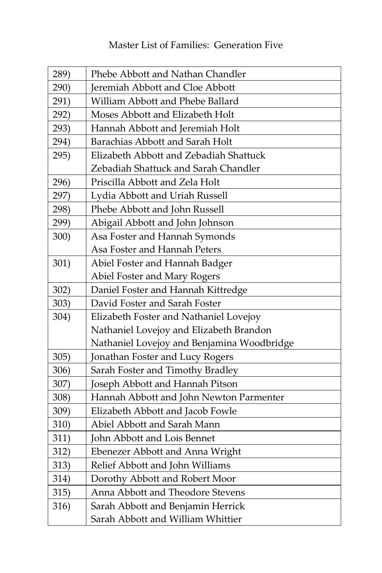## 289) Phebe Abbott and Nathan Chandler 290) Jeremiah Abbott and Cloe Abbott 291) William Abbott and Phebe Ballard 292) Moses Abbott and Elizabeth Holt 293) Hannah Abbott and Jeremiah Holt 294) Barachias Abbott and Sarah Holt 295) Elizabeth Abbott and Zebadiah Shattuck Zebadiah Shattuck and Sarah Chandler 296) Priscilla Abbott and Zela Holt 297) Lydia Abbott and Uriah Russell 298) Phebe Abbott and John Russell 299) Abigail Abbott and John Johnson 300) Asa Foster and Hannah Symonds Asa Foster and Hannah Peters 301) Abiel Foster and Hannah Badger Abiel Foster and Mary Rogers 302) Daniel Foster and Hannah Kittredge 303) David Foster and Sarah Foster 304) Elizabeth Foster and Nathaniel Lovejoy Nathaniel Lovejoy and Elizabeth Brandon Nathaniel Lovejoy and Benjamina Woodbridge 305) Jonathan Foster and Lucy Rogers 306) Sarah Foster and Timothy Bradley 307) Joseph Abbott and Hannah Pitson 308) Hannah Abbott and John Newton Parmenter 309) Elizabeth Abbott and Jacob Fowle 310) Abiel Abbott and Sarah Mann 311) **John Abbott and Lois Bennet** 312) Ebenezer Abbott and Anna Wright 313) Relief Abbott and John Williams 314) Dorothy Abbott and Robert Moor 315) Anna Abbott and Theodore Stevens 316) Sarah Abbott and Benjamin Herrick Sarah Abbott and William Whittier

## Master List of Families: Generation Five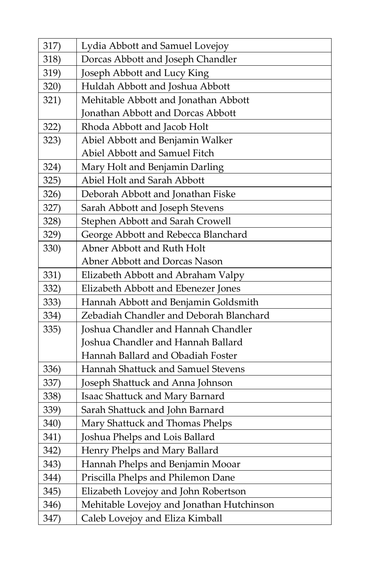| 317) | Lydia Abbott and Samuel Lovejoy           |
|------|-------------------------------------------|
| 318) | Dorcas Abbott and Joseph Chandler         |
| 319) | Joseph Abbott and Lucy King               |
| 320) | Huldah Abbott and Joshua Abbott           |
| 321) | Mehitable Abbott and Jonathan Abbott      |
|      | Jonathan Abbott and Dorcas Abbott         |
| 322) | Rhoda Abbott and Jacob Holt               |
| 323) | Abiel Abbott and Benjamin Walker          |
|      | Abiel Abbott and Samuel Fitch             |
| 324) | Mary Holt and Benjamin Darling            |
| 325) | Abiel Holt and Sarah Abbott               |
| 326) | Deborah Abbott and Jonathan Fiske         |
| 327) | Sarah Abbott and Joseph Stevens           |
| 328) | Stephen Abbott and Sarah Crowell          |
| 329) | George Abbott and Rebecca Blanchard       |
| 330) | Abner Abbott and Ruth Holt                |
|      | Abner Abbott and Dorcas Nason             |
| 331) | Elizabeth Abbott and Abraham Valpy        |
| 332) | Elizabeth Abbott and Ebenezer Jones       |
| 333) | Hannah Abbott and Benjamin Goldsmith      |
| 334) | Zebadiah Chandler and Deborah Blanchard   |
| 335) | Joshua Chandler and Hannah Chandler       |
|      | Joshua Chandler and Hannah Ballard        |
|      | Hannah Ballard and Obadiah Foster         |
| 336) | Hannah Shattuck and Samuel Stevens        |
| 337) | Joseph Shattuck and Anna Johnson          |
| 338) | Isaac Shattuck and Mary Barnard           |
| 339) | Sarah Shattuck and John Barnard           |
| 340) | Mary Shattuck and Thomas Phelps           |
| 341) | Joshua Phelps and Lois Ballard            |
| 342) | Henry Phelps and Mary Ballard             |
| 343) | Hannah Phelps and Benjamin Mooar          |
| 344) | Priscilla Phelps and Philemon Dane        |
| 345) | Elizabeth Lovejoy and John Robertson      |
| 346) | Mehitable Lovejoy and Jonathan Hutchinson |
| 347) | Caleb Lovejoy and Eliza Kimball           |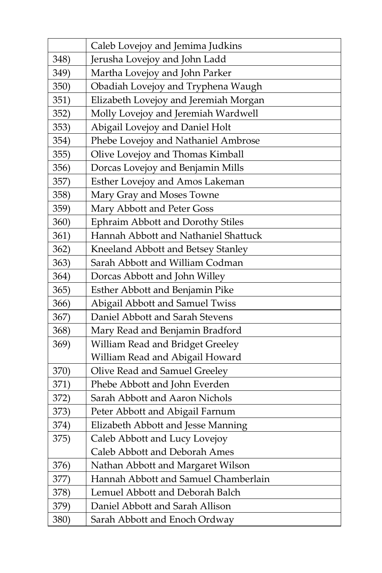|      | Caleb Lovejoy and Jemima Judkins         |
|------|------------------------------------------|
| 348) | Jerusha Lovejoy and John Ladd            |
| 349) | Martha Lovejoy and John Parker           |
| 350) | Obadiah Lovejoy and Tryphena Waugh       |
| 351) | Elizabeth Lovejoy and Jeremiah Morgan    |
| 352) | Molly Lovejoy and Jeremiah Wardwell      |
| 353) | Abigail Lovejoy and Daniel Holt          |
| 354) | Phebe Lovejoy and Nathaniel Ambrose      |
| 355) | Olive Lovejoy and Thomas Kimball         |
| 356) | Dorcas Lovejoy and Benjamin Mills        |
| 357) | Esther Lovejoy and Amos Lakeman          |
| 358) | Mary Gray and Moses Towne                |
| 359) | Mary Abbott and Peter Goss               |
| 360) | <b>Ephraim Abbott and Dorothy Stiles</b> |
| 361) | Hannah Abbott and Nathaniel Shattuck     |
| 362) | Kneeland Abbott and Betsey Stanley       |
| 363) | Sarah Abbott and William Codman          |
| 364) | Dorcas Abbott and John Willey            |
| 365) | Esther Abbott and Benjamin Pike          |
| 366) | Abigail Abbott and Samuel Twiss          |
| 367) | Daniel Abbott and Sarah Stevens          |
| 368) | Mary Read and Benjamin Bradford          |
| 369) | William Read and Bridget Greeley         |
|      | William Read and Abigail Howard          |
| 370) | Olive Read and Samuel Greeley            |
| 371) | Phebe Abbott and John Everden            |
| 372) | Sarah Abbott and Aaron Nichols           |
| 373) | Peter Abbott and Abigail Farnum          |
| 374) | Elizabeth Abbott and Jesse Manning       |
| 375) | Caleb Abbott and Lucy Lovejoy            |
|      | Caleb Abbott and Deborah Ames            |
| 376) | Nathan Abbott and Margaret Wilson        |
| 377) | Hannah Abbott and Samuel Chamberlain     |
| 378) | Lemuel Abbott and Deborah Balch          |
| 379) | Daniel Abbott and Sarah Allison          |
| 380) | Sarah Abbott and Enoch Ordway            |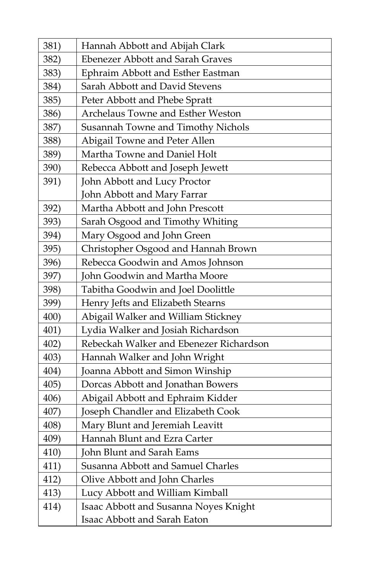| 381) | Hannah Abbott and Abijah Clark          |
|------|-----------------------------------------|
| 382) | <b>Ebenezer Abbott and Sarah Graves</b> |
| 383) | Ephraim Abbott and Esther Eastman       |
| 384) | Sarah Abbott and David Stevens          |
| 385) | Peter Abbott and Phebe Spratt           |
| 386) | Archelaus Towne and Esther Weston       |
| 387) | Susannah Towne and Timothy Nichols      |
| 388) | Abigail Towne and Peter Allen           |
| 389) | Martha Towne and Daniel Holt            |
| 390) | Rebecca Abbott and Joseph Jewett        |
| 391) | John Abbott and Lucy Proctor            |
|      | John Abbott and Mary Farrar             |
| 392) | Martha Abbott and John Prescott         |
| 393) | Sarah Osgood and Timothy Whiting        |
| 394) | Mary Osgood and John Green              |
| 395) | Christopher Osgood and Hannah Brown     |
| 396) | Rebecca Goodwin and Amos Johnson        |
| 397) | John Goodwin and Martha Moore           |
| 398) | Tabitha Goodwin and Joel Doolittle      |
| 399) | Henry Jefts and Elizabeth Stearns       |
| 400) | Abigail Walker and William Stickney     |
| 401) | Lydia Walker and Josiah Richardson      |
| 402) | Rebeckah Walker and Ebenezer Richardson |
| 403) | Hannah Walker and John Wright           |
| 404) | Joanna Abbott and Simon Winship         |
| 405) | Dorcas Abbott and Jonathan Bowers       |
| 406) | Abigail Abbott and Ephraim Kidder       |
| 407) | Joseph Chandler and Elizabeth Cook      |
| 408) | Mary Blunt and Jeremiah Leavitt         |
| 409) | Hannah Blunt and Ezra Carter            |
| 410) | John Blunt and Sarah Eams               |
| 411) | Susanna Abbott and Samuel Charles       |
| 412) | Olive Abbott and John Charles           |
| 413) | Lucy Abbott and William Kimball         |
| 414) | Isaac Abbott and Susanna Noyes Knight   |
|      | Isaac Abbott and Sarah Eaton            |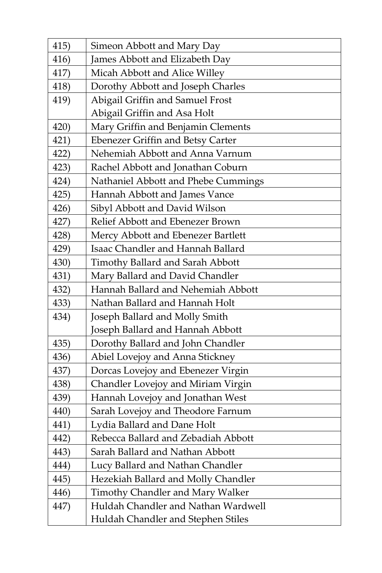| 415) | Simeon Abbott and Mary Day               |
|------|------------------------------------------|
| 416) | James Abbott and Elizabeth Day           |
| 417) | Micah Abbott and Alice Willey            |
| 418) | Dorothy Abbott and Joseph Charles        |
| 419) | Abigail Griffin and Samuel Frost         |
|      | Abigail Griffin and Asa Holt             |
| 420) | Mary Griffin and Benjamin Clements       |
| 421) | <b>Ebenezer Griffin and Betsy Carter</b> |
| 422) | Nehemiah Abbott and Anna Varnum          |
| 423) | Rachel Abbott and Jonathan Coburn        |
| 424) | Nathaniel Abbott and Phebe Cummings      |
| 425) | Hannah Abbott and James Vance            |
| 426) | Sibyl Abbott and David Wilson            |
| 427) | Relief Abbott and Ebenezer Brown         |
| 428) | Mercy Abbott and Ebenezer Bartlett       |
| 429) | Isaac Chandler and Hannah Ballard        |
| 430) | Timothy Ballard and Sarah Abbott         |
| 431) | Mary Ballard and David Chandler          |
| 432) | Hannah Ballard and Nehemiah Abbott       |
| 433) | Nathan Ballard and Hannah Holt           |
| 434) | Joseph Ballard and Molly Smith           |
|      | Joseph Ballard and Hannah Abbott         |
| 435) | Dorothy Ballard and John Chandler        |
| 436) | Abiel Lovejoy and Anna Stickney          |
| 437) | Dorcas Lovejoy and Ebenezer Virgin       |
| 438) | Chandler Lovejoy and Miriam Virgin       |
| 439) | Hannah Lovejoy and Jonathan West         |
| 440) | Sarah Lovejoy and Theodore Farnum        |
| 441) | Lydia Ballard and Dane Holt              |
| 442) | Rebecca Ballard and Zebadiah Abbott      |
| 443) | Sarah Ballard and Nathan Abbott          |
| 444) | Lucy Ballard and Nathan Chandler         |
| 445) | Hezekiah Ballard and Molly Chandler      |
| 446) | Timothy Chandler and Mary Walker         |
| 447) | Huldah Chandler and Nathan Wardwell      |
|      | Huldah Chandler and Stephen Stiles       |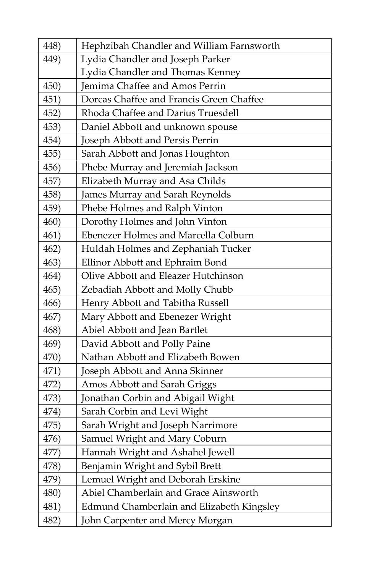| 448) | Hephzibah Chandler and William Farnsworth |
|------|-------------------------------------------|
| 449) | Lydia Chandler and Joseph Parker          |
|      | Lydia Chandler and Thomas Kenney          |
| 450) | Jemima Chaffee and Amos Perrin            |
| 451) | Dorcas Chaffee and Francis Green Chaffee  |
| 452) | Rhoda Chaffee and Darius Truesdell        |
| 453) | Daniel Abbott and unknown spouse          |
| 454) | Joseph Abbott and Persis Perrin           |
| 455) | Sarah Abbott and Jonas Houghton           |
| 456) | Phebe Murray and Jeremiah Jackson         |
| 457) | Elizabeth Murray and Asa Childs           |
| 458) | James Murray and Sarah Reynolds           |
| 459) | Phebe Holmes and Ralph Vinton             |
| 460) | Dorothy Holmes and John Vinton            |
| 461) | Ebenezer Holmes and Marcella Colburn      |
| 462) | Huldah Holmes and Zephaniah Tucker        |
| 463) | Ellinor Abbott and Ephraim Bond           |
| 464) | Olive Abbott and Eleazer Hutchinson       |
| 465) | Zebadiah Abbott and Molly Chubb           |
| 466) | Henry Abbott and Tabitha Russell          |
| 467) | Mary Abbott and Ebenezer Wright           |
| 468) | Abiel Abbott and Jean Bartlet             |
| 469) | David Abbott and Polly Paine              |
| 470) | Nathan Abbott and Elizabeth Bowen         |
| 471) | Joseph Abbott and Anna Skinner            |
| 472) | Amos Abbott and Sarah Griggs              |
| 473) | Jonathan Corbin and Abigail Wight         |
| 474) | Sarah Corbin and Levi Wight               |
| 475) | Sarah Wright and Joseph Narrimore         |
| 476) | Samuel Wright and Mary Coburn             |
| 477) | Hannah Wright and Ashahel Jewell          |
| 478) | Benjamin Wright and Sybil Brett           |
| 479) | Lemuel Wright and Deborah Erskine         |
| 480) | Abiel Chamberlain and Grace Ainsworth     |
| 481) | Edmund Chamberlain and Elizabeth Kingsley |
| 482) | John Carpenter and Mercy Morgan           |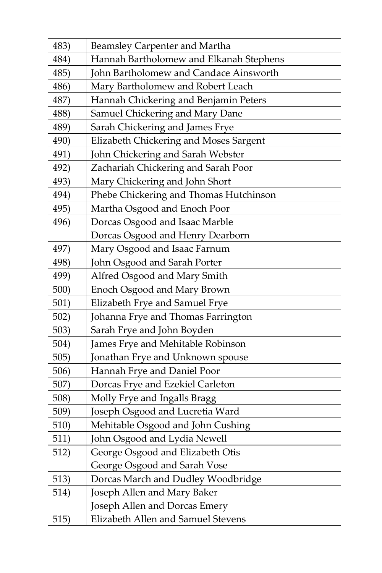| 483) | Beamsley Carpenter and Martha           |
|------|-----------------------------------------|
| 484) | Hannah Bartholomew and Elkanah Stephens |
| 485) | John Bartholomew and Candace Ainsworth  |
| 486) | Mary Bartholomew and Robert Leach       |
| 487) | Hannah Chickering and Benjamin Peters   |
| 488) | Samuel Chickering and Mary Dane         |
| 489) | Sarah Chickering and James Frye         |
| 490) | Elizabeth Chickering and Moses Sargent  |
| 491) | John Chickering and Sarah Webster       |
| 492) | Zachariah Chickering and Sarah Poor     |
| 493) | Mary Chickering and John Short          |
| 494) | Phebe Chickering and Thomas Hutchinson  |
| 495) | Martha Osgood and Enoch Poor            |
| 496) | Dorcas Osgood and Isaac Marble          |
|      | Dorcas Osgood and Henry Dearborn        |
| 497) | Mary Osgood and Isaac Farnum            |
| 498) | John Osgood and Sarah Porter            |
| 499) | Alfred Osgood and Mary Smith            |
| 500) | Enoch Osgood and Mary Brown             |
| 501) | Elizabeth Frye and Samuel Frye          |
| 502) | Johanna Frye and Thomas Farrington      |
| 503) | Sarah Frye and John Boyden              |
| 504) | James Frye and Mehitable Robinson       |
| 505) | Jonathan Frye and Unknown spouse        |
| 506) | Hannah Frye and Daniel Poor             |
| 507) | Dorcas Frye and Ezekiel Carleton        |
| 508) | Molly Frye and Ingalls Bragg            |
| 509) | Joseph Osgood and Lucretia Ward         |
| 510) | Mehitable Osgood and John Cushing       |
| 511) | John Osgood and Lydia Newell            |
| 512) | George Osgood and Elizabeth Otis        |
|      | George Osgood and Sarah Vose            |
| 513) | Dorcas March and Dudley Woodbridge      |
| 514) | Joseph Allen and Mary Baker             |
|      | Joseph Allen and Dorcas Emery           |
| 515) | Elizabeth Allen and Samuel Stevens      |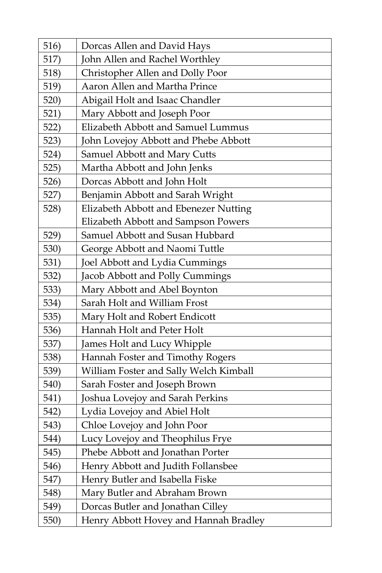| 516) | Dorcas Allen and David Hays            |
|------|----------------------------------------|
| 517) | John Allen and Rachel Worthley         |
| 518) | Christopher Allen and Dolly Poor       |
| 519) | Aaron Allen and Martha Prince          |
| 520) | Abigail Holt and Isaac Chandler        |
| 521) | Mary Abbott and Joseph Poor            |
| 522) | Elizabeth Abbott and Samuel Lummus     |
| 523) | John Lovejoy Abbott and Phebe Abbott   |
| 524) | Samuel Abbott and Mary Cutts           |
| 525) | Martha Abbott and John Jenks           |
| 526) | Dorcas Abbott and John Holt            |
| 527) | Benjamin Abbott and Sarah Wright       |
| 528) | Elizabeth Abbott and Ebenezer Nutting  |
|      | Elizabeth Abbott and Sampson Powers    |
| 529) | Samuel Abbott and Susan Hubbard        |
| 530) | George Abbott and Naomi Tuttle         |
| 531) | Joel Abbott and Lydia Cummings         |
| 532) | Jacob Abbott and Polly Cummings        |
| 533) | Mary Abbott and Abel Boynton           |
| 534) | Sarah Holt and William Frost           |
| 535) | Mary Holt and Robert Endicott          |
| 536) | Hannah Holt and Peter Holt             |
| 537) | James Holt and Lucy Whipple            |
| 538) | Hannah Foster and Timothy Rogers       |
| 539) | William Foster and Sally Welch Kimball |
| 540) | Sarah Foster and Joseph Brown          |
| 541) | Joshua Lovejoy and Sarah Perkins       |
| 542) | Lydia Lovejoy and Abiel Holt           |
| 543) | Chloe Lovejoy and John Poor            |
| 544) | Lucy Lovejoy and Theophilus Frye       |
| 545) | Phebe Abbott and Jonathan Porter       |
| 546) | Henry Abbott and Judith Follansbee     |
| 547) | Henry Butler and Isabella Fiske        |
| 548) | Mary Butler and Abraham Brown          |
| 549) | Dorcas Butler and Jonathan Cilley      |
| 550) | Henry Abbott Hovey and Hannah Bradley  |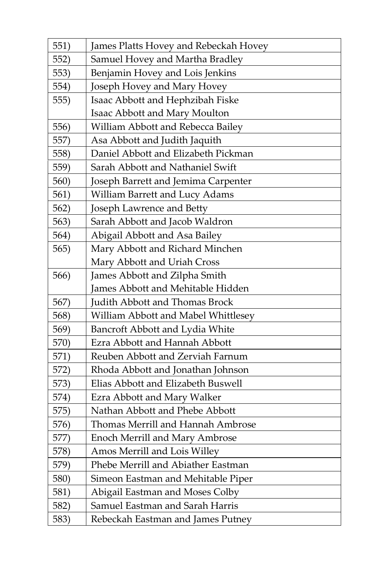| 551) | James Platts Hovey and Rebeckah Hovey |
|------|---------------------------------------|
| 552) | Samuel Hovey and Martha Bradley       |
| 553) | Benjamin Hovey and Lois Jenkins       |
| 554) | Joseph Hovey and Mary Hovey           |
| 555) | Isaac Abbott and Hephzibah Fiske      |
|      | Isaac Abbott and Mary Moulton         |
| 556) | William Abbott and Rebecca Bailey     |
| 557) | Asa Abbott and Judith Jaquith         |
| 558) | Daniel Abbott and Elizabeth Pickman   |
| 559) | Sarah Abbott and Nathaniel Swift      |
| 560) | Joseph Barrett and Jemima Carpenter   |
| 561) | William Barrett and Lucy Adams        |
| 562) | Joseph Lawrence and Betty             |
| 563) | Sarah Abbott and Jacob Waldron        |
| 564) | Abigail Abbott and Asa Bailey         |
| 565) | Mary Abbott and Richard Minchen       |
|      | Mary Abbott and Uriah Cross           |
| 566) | James Abbott and Zilpha Smith         |
|      | James Abbott and Mehitable Hidden     |
| 567) | <b>Judith Abbott and Thomas Brock</b> |
| 568) | William Abbott and Mabel Whittlesey   |
| 569) | Bancroft Abbott and Lydia White       |
| 570) | Ezra Abbott and Hannah Abbott         |
| 571) | Reuben Abbott and Zerviah Farnum      |
| 572) | Rhoda Abbott and Jonathan Johnson     |
| 573) | Elias Abbott and Elizabeth Buswell    |
| 574) | Ezra Abbott and Mary Walker           |
| 575) | Nathan Abbott and Phebe Abbott        |
| 576) | Thomas Merrill and Hannah Ambrose     |
| 577) | <b>Enoch Merrill and Mary Ambrose</b> |
| 578) | Amos Merrill and Lois Willey          |
| 579) | Phebe Merrill and Abiather Eastman    |
| 580) | Simeon Eastman and Mehitable Piper    |
| 581) | Abigail Eastman and Moses Colby       |
| 582) | Samuel Eastman and Sarah Harris       |
| 583) | Rebeckah Eastman and James Putney     |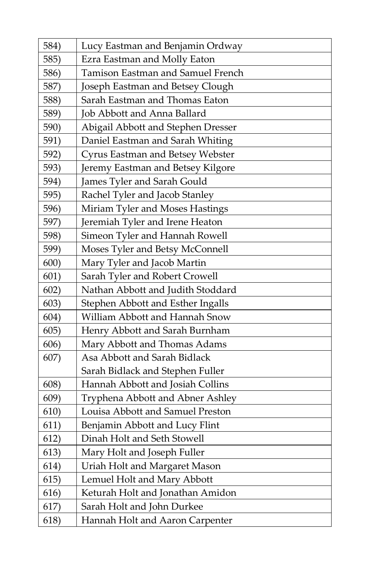| 584) | Lucy Eastman and Benjamin Ordway   |
|------|------------------------------------|
| 585) | Ezra Eastman and Molly Eaton       |
| 586) | Tamison Eastman and Samuel French  |
| 587) | Joseph Eastman and Betsey Clough   |
| 588) | Sarah Eastman and Thomas Eaton     |
| 589) | Job Abbott and Anna Ballard        |
| 590) | Abigail Abbott and Stephen Dresser |
| 591) | Daniel Eastman and Sarah Whiting   |
| 592) | Cyrus Eastman and Betsey Webster   |
| 593) | Jeremy Eastman and Betsey Kilgore  |
| 594) | James Tyler and Sarah Gould        |
| 595) | Rachel Tyler and Jacob Stanley     |
| 596) | Miriam Tyler and Moses Hastings    |
| 597) | Jeremiah Tyler and Irene Heaton    |
| 598) | Simeon Tyler and Hannah Rowell     |
| 599) | Moses Tyler and Betsy McConnell    |
| 600) | Mary Tyler and Jacob Martin        |
| 601) | Sarah Tyler and Robert Crowell     |
| 602) | Nathan Abbott and Judith Stoddard  |
| 603) | Stephen Abbott and Esther Ingalls  |
| 604) | William Abbott and Hannah Snow     |
| 605) | Henry Abbott and Sarah Burnham     |
| 606) | Mary Abbott and Thomas Adams       |
| 607) | Asa Abbott and Sarah Bidlack       |
|      | Sarah Bidlack and Stephen Fuller   |
| 608) | Hannah Abbott and Josiah Collins   |
| 609) | Tryphena Abbott and Abner Ashley   |
| 610) | Louisa Abbott and Samuel Preston   |
| 611) | Benjamin Abbott and Lucy Flint     |
| 612) | Dinah Holt and Seth Stowell        |
| 613) | Mary Holt and Joseph Fuller        |
| 614) | Uriah Holt and Margaret Mason      |
| 615) | Lemuel Holt and Mary Abbott        |
| 616) | Keturah Holt and Jonathan Amidon   |
| 617) | Sarah Holt and John Durkee         |
| 618) | Hannah Holt and Aaron Carpenter    |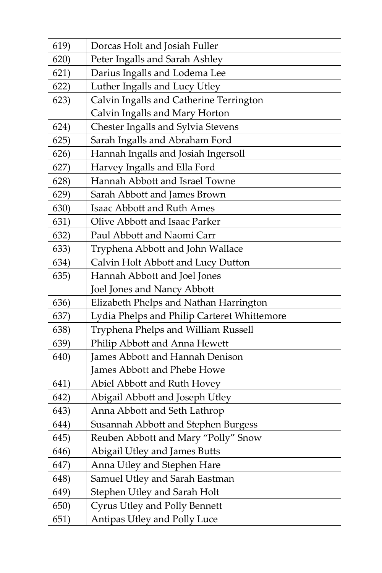| 619) | Dorcas Holt and Josiah Fuller               |
|------|---------------------------------------------|
| 620) | Peter Ingalls and Sarah Ashley              |
| 621) | Darius Ingalls and Lodema Lee               |
| 622) | Luther Ingalls and Lucy Utley               |
| 623) | Calvin Ingalls and Catherine Terrington     |
|      | Calvin Ingalls and Mary Horton              |
| 624) | Chester Ingalls and Sylvia Stevens          |
| 625) | Sarah Ingalls and Abraham Ford              |
| 626) | Hannah Ingalls and Josiah Ingersoll         |
| 627) | Harvey Ingalls and Ella Ford                |
| 628) | Hannah Abbott and Israel Towne              |
| 629) | Sarah Abbott and James Brown                |
| 630) | <b>Isaac Abbott and Ruth Ames</b>           |
| 631) | Olive Abbott and Isaac Parker               |
| 632) | Paul Abbott and Naomi Carr                  |
| 633) | Tryphena Abbott and John Wallace            |
| 634) | Calvin Holt Abbott and Lucy Dutton          |
| 635) | Hannah Abbott and Joel Jones                |
|      | Joel Jones and Nancy Abbott                 |
| 636) | Elizabeth Phelps and Nathan Harrington      |
| 637) | Lydia Phelps and Philip Carteret Whittemore |
| 638) | Tryphena Phelps and William Russell         |
| 639) | Philip Abbott and Anna Hewett               |
| 640) | James Abbott and Hannah Denison             |
|      | James Abbott and Phebe Howe                 |
| 641) | Abiel Abbott and Ruth Hovey                 |
| 642) | Abigail Abbott and Joseph Utley             |
| 643) | Anna Abbott and Seth Lathrop                |
| 644) | Susannah Abbott and Stephen Burgess         |
| 645) | Reuben Abbott and Mary "Polly" Snow         |
| 646) | Abigail Utley and James Butts               |
| 647) | Anna Utley and Stephen Hare                 |
| 648) | Samuel Utley and Sarah Eastman              |
| 649) | Stephen Utley and Sarah Holt                |
| 650) | Cyrus Utley and Polly Bennett               |
| 651) | Antipas Utley and Polly Luce                |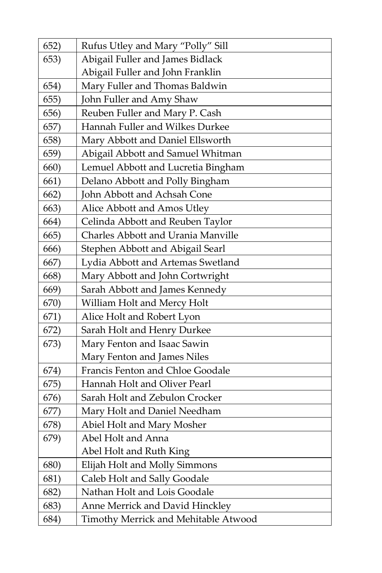| 652) | Rufus Utley and Mary "Polly" Sill    |
|------|--------------------------------------|
| 653) | Abigail Fuller and James Bidlack     |
|      | Abigail Fuller and John Franklin     |
| 654) | Mary Fuller and Thomas Baldwin       |
| 655) | John Fuller and Amy Shaw             |
| 656) | Reuben Fuller and Mary P. Cash       |
| 657) | Hannah Fuller and Wilkes Durkee      |
| 658) | Mary Abbott and Daniel Ellsworth     |
| 659) | Abigail Abbott and Samuel Whitman    |
| 660) | Lemuel Abbott and Lucretia Bingham   |
| 661) | Delano Abbott and Polly Bingham      |
| 662) | John Abbott and Achsah Cone          |
| 663) | Alice Abbott and Amos Utley          |
| 664) | Celinda Abbott and Reuben Taylor     |
| 665) | Charles Abbott and Urania Manville   |
| 666) | Stephen Abbott and Abigail Searl     |
| 667) | Lydia Abbott and Artemas Swetland    |
| 668) | Mary Abbott and John Cortwright      |
| 669) | Sarah Abbott and James Kennedy       |
| 670) | William Holt and Mercy Holt          |
| 671) | Alice Holt and Robert Lyon           |
| 672) | Sarah Holt and Henry Durkee          |
| 673) | Mary Fenton and Isaac Sawin          |
|      | Mary Fenton and James Niles          |
| 674) | Francis Fenton and Chloe Goodale     |
| 675) | Hannah Holt and Oliver Pearl         |
| 676) | Sarah Holt and Zebulon Crocker       |
| 677) | Mary Holt and Daniel Needham         |
| 678) | Abiel Holt and Mary Mosher           |
| 679) | Abel Holt and Anna                   |
|      | Abel Holt and Ruth King              |
| 680) | Elijah Holt and Molly Simmons        |
| 681) | Caleb Holt and Sally Goodale         |
| 682) | Nathan Holt and Lois Goodale         |
| 683) | Anne Merrick and David Hinckley      |
| 684) | Timothy Merrick and Mehitable Atwood |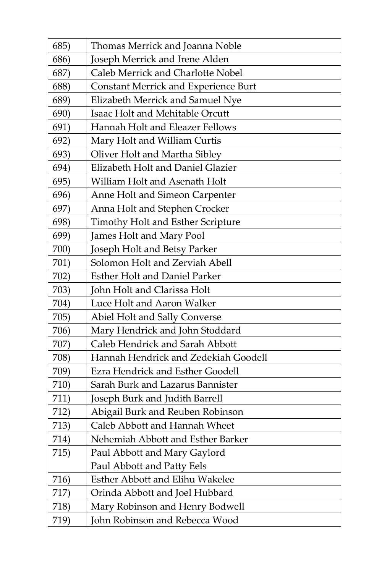| 685) | Thomas Merrick and Joanna Noble             |
|------|---------------------------------------------|
| 686) | Joseph Merrick and Irene Alden              |
| 687) | Caleb Merrick and Charlotte Nobel           |
| 688) | <b>Constant Merrick and Experience Burt</b> |
| 689) | Elizabeth Merrick and Samuel Nye            |
| 690) | Isaac Holt and Mehitable Orcutt             |
| 691) | Hannah Holt and Eleazer Fellows             |
| 692) | Mary Holt and William Curtis                |
| 693) | Oliver Holt and Martha Sibley               |
| 694) | Elizabeth Holt and Daniel Glazier           |
| 695) | William Holt and Asenath Holt               |
| 696) | Anne Holt and Simeon Carpenter              |
| 697) | Anna Holt and Stephen Crocker               |
| 698) | Timothy Holt and Esther Scripture           |
| 699) | James Holt and Mary Pool                    |
| 700) | Joseph Holt and Betsy Parker                |
| 701) | Solomon Holt and Zerviah Abell              |
| 702) | <b>Esther Holt and Daniel Parker</b>        |
| 703) | John Holt and Clarissa Holt                 |
| 704) | Luce Holt and Aaron Walker                  |
| 705) | Abiel Holt and Sally Converse               |
| 706) | Mary Hendrick and John Stoddard             |
| 707) | Caleb Hendrick and Sarah Abbott             |
| 708) | Hannah Hendrick and Zedekiah Goodell        |
| 709) | Ezra Hendrick and Esther Goodell            |
| 710) | Sarah Burk and Lazarus Bannister            |
| 711) | Joseph Burk and Judith Barrell              |
| 712) | Abigail Burk and Reuben Robinson            |
| 713) | Caleb Abbott and Hannah Wheet               |
| 714) | Nehemiah Abbott and Esther Barker           |
| 715) | Paul Abbott and Mary Gaylord                |
|      | Paul Abbott and Patty Eels                  |
| 716) | Esther Abbott and Elihu Wakelee             |
| 717) | Orinda Abbott and Joel Hubbard              |
| 718) | Mary Robinson and Henry Bodwell             |
| 719) | John Robinson and Rebecca Wood              |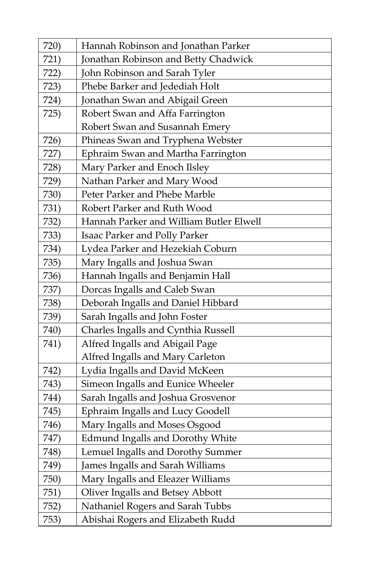| 720) | Hannah Robinson and Jonathan Parker     |
|------|-----------------------------------------|
| 721) | Jonathan Robinson and Betty Chadwick    |
| 722) | John Robinson and Sarah Tyler           |
| 723) | Phebe Barker and Jedediah Holt          |
| 724) | Jonathan Swan and Abigail Green         |
| 725) | Robert Swan and Affa Farrington         |
|      | Robert Swan and Susannah Emery          |
| 726) | Phineas Swan and Tryphena Webster       |
| 727) | Ephraim Swan and Martha Farrington      |
| 728) | Mary Parker and Enoch Ilsley            |
| 729) | Nathan Parker and Mary Wood             |
| 730) | Peter Parker and Phebe Marble           |
| 731) | Robert Parker and Ruth Wood             |
| 732) | Hannah Parker and William Butler Elwell |
| 733) | Isaac Parker and Polly Parker           |
| 734) | Lydea Parker and Hezekiah Coburn        |
| 735) | Mary Ingalls and Joshua Swan            |
| 736) | Hannah Ingalls and Benjamin Hall        |
| 737) | Dorcas Ingalls and Caleb Swan           |
| 738) | Deborah Ingalls and Daniel Hibbard      |
| 739) | Sarah Ingalls and John Foster           |
| 740) | Charles Ingalls and Cynthia Russell     |
| 741) | Alfred Ingalls and Abigail Page         |
|      | Alfred Ingalls and Mary Carleton        |
| 742) | Lydia Ingalls and David McKeen          |
| 743) | Simeon Ingalls and Eunice Wheeler       |
| 744) | Sarah Ingalls and Joshua Grosvenor      |
| 745) | <b>Ephraim Ingalls and Lucy Goodell</b> |
| 746) | Mary Ingalls and Moses Osgood           |
| 747) | Edmund Ingalls and Dorothy White        |
| 748) | Lemuel Ingalls and Dorothy Summer       |
| 749) | James Ingalls and Sarah Williams        |
| 750) | Mary Ingalls and Eleazer Williams       |
| 751) | Oliver Ingalls and Betsey Abbott        |
| 752) | Nathaniel Rogers and Sarah Tubbs        |
| 753) | Abishai Rogers and Elizabeth Rudd       |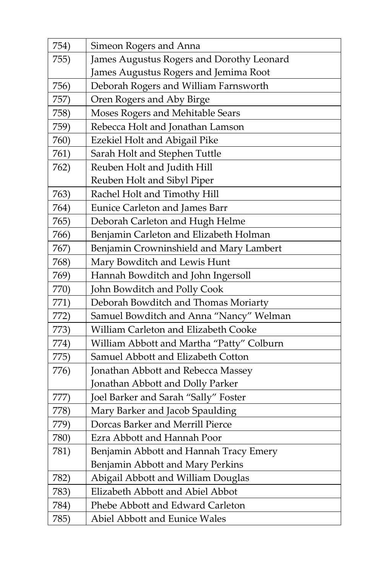| 754) | Simeon Rogers and Anna                    |
|------|-------------------------------------------|
| 755) | James Augustus Rogers and Dorothy Leonard |
|      | James Augustus Rogers and Jemima Root     |
| 756) | Deborah Rogers and William Farnsworth     |
| 757) | Oren Rogers and Aby Birge                 |
| 758) | Moses Rogers and Mehitable Sears          |
| 759) | Rebecca Holt and Jonathan Lamson          |
| 760) | Ezekiel Holt and Abigail Pike             |
| 761) | Sarah Holt and Stephen Tuttle             |
| 762) | Reuben Holt and Judith Hill               |
|      | Reuben Holt and Sibyl Piper               |
| 763) | Rachel Holt and Timothy Hill              |
| 764) | <b>Eunice Carleton and James Barr</b>     |
| 765) | Deborah Carleton and Hugh Helme           |
| 766) | Benjamin Carleton and Elizabeth Holman    |
| 767) | Benjamin Crowninshield and Mary Lambert   |
| 768) | Mary Bowditch and Lewis Hunt              |
| 769) | Hannah Bowditch and John Ingersoll        |
| 770) | John Bowditch and Polly Cook              |
| 771) | Deborah Bowditch and Thomas Moriarty      |
| 772) | Samuel Bowditch and Anna "Nancy" Welman   |
| 773) | William Carleton and Elizabeth Cooke      |
| 774) | William Abbott and Martha "Patty" Colburn |
| 775) | Samuel Abbott and Elizabeth Cotton        |
| 776) | Jonathan Abbott and Rebecca Massey        |
|      | Jonathan Abbott and Dolly Parker          |
| 777) | Joel Barker and Sarah "Sally" Foster      |
| 778) | Mary Barker and Jacob Spaulding           |
| 779) | Dorcas Barker and Merrill Pierce          |
| 780) | Ezra Abbott and Hannah Poor               |
| 781) | Benjamin Abbott and Hannah Tracy Emery    |
|      | Benjamin Abbott and Mary Perkins          |
| 782) | Abigail Abbott and William Douglas        |
| 783) | Elizabeth Abbott and Abiel Abbot          |
| 784) | Phebe Abbott and Edward Carleton          |
| 785) | Abiel Abbott and Eunice Wales             |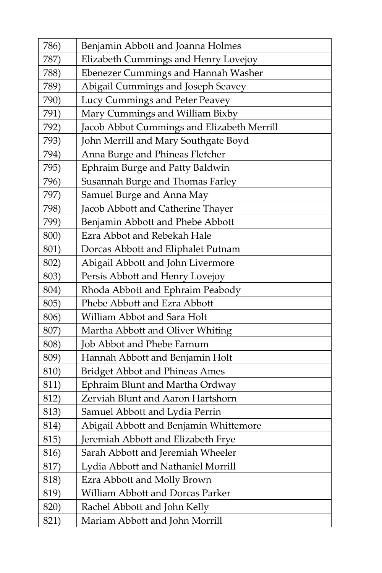| 786) | Benjamin Abbott and Joanna Holmes          |
|------|--------------------------------------------|
| 787) | Elizabeth Cummings and Henry Lovejoy       |
| 788) | Ebenezer Cummings and Hannah Washer        |
| 789) | Abigail Cummings and Joseph Seavey         |
| 790) | Lucy Cummings and Peter Peavey             |
| 791) | Mary Cummings and William Bixby            |
| 792) | Jacob Abbot Cummings and Elizabeth Merrill |
| 793) | John Merrill and Mary Southgate Boyd       |
| 794) | Anna Burge and Phineas Fletcher            |
| 795) | Ephraim Burge and Patty Baldwin            |
| 796) | Susannah Burge and Thomas Farley           |
| 797) | Samuel Burge and Anna May                  |
| 798) | Jacob Abbott and Catherine Thayer          |
| 799) | Benjamin Abbott and Phebe Abbott           |
| 800) | Ezra Abbot and Rebekah Hale                |
| 801) | Dorcas Abbott and Eliphalet Putnam         |
| 802) | Abigail Abbott and John Livermore          |
| 803) | Persis Abbott and Henry Lovejoy            |
| 804) | Rhoda Abbott and Ephraim Peabody           |
| 805) | Phebe Abbott and Ezra Abbott               |
| 806) | William Abbot and Sara Holt                |
| 807) | Martha Abbott and Oliver Whiting           |
| 808) | Job Abbot and Phebe Farnum                 |
| 809) | Hannah Abbott and Benjamin Holt            |
| 810) | <b>Bridget Abbot and Phineas Ames</b>      |
| 811) | Ephraim Blunt and Martha Ordway            |
| 812) | Zerviah Blunt and Aaron Hartshorn          |
| 813) | Samuel Abbott and Lydia Perrin             |
| 814) | Abigail Abbott and Benjamin Whittemore     |
| 815) | eremiah Abbott and Elizabeth Frye          |
| 816) | Sarah Abbott and Jeremiah Wheeler          |
| 817) | Lydia Abbott and Nathaniel Morrill         |
| 818) | Ezra Abbott and Molly Brown                |
| 819) | William Abbott and Dorcas Parker           |
| 820) | Rachel Abbott and John Kelly               |
| 821) | Mariam Abbott and John Morrill             |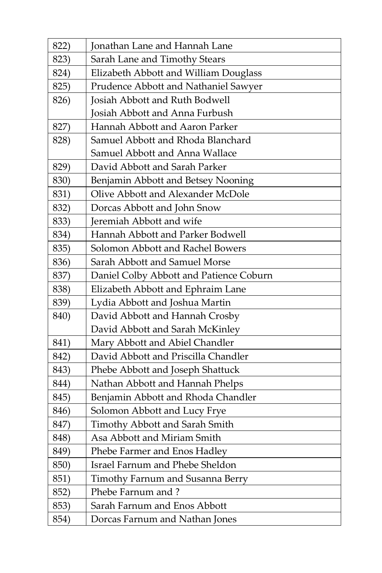| 822) | Jonathan Lane and Hannah Lane           |
|------|-----------------------------------------|
| 823) | Sarah Lane and Timothy Stears           |
| 824) | Elizabeth Abbott and William Douglass   |
| 825) | Prudence Abbott and Nathaniel Sawyer    |
| 826) | Josiah Abbott and Ruth Bodwell          |
|      | Josiah Abbott and Anna Furbush          |
| 827) | Hannah Abbott and Aaron Parker          |
| 828) | Samuel Abbott and Rhoda Blanchard       |
|      | Samuel Abbott and Anna Wallace          |
| 829) | David Abbott and Sarah Parker           |
| 830) | Benjamin Abbott and Betsey Nooning      |
| 831) | Olive Abbott and Alexander McDole       |
| 832) | Dorcas Abbott and John Snow             |
| 833) | Jeremiah Abbott and wife                |
| 834) | Hannah Abbott and Parker Bodwell        |
| 835) | Solomon Abbott and Rachel Bowers        |
| 836) | Sarah Abbott and Samuel Morse           |
| 837) | Daniel Colby Abbott and Patience Coburn |
| 838) | Elizabeth Abbott and Ephraim Lane       |
| 839) | Lydia Abbott and Joshua Martin          |
| 840) | David Abbott and Hannah Crosby          |
|      | David Abbott and Sarah McKinley         |
| 841) | Mary Abbott and Abiel Chandler          |
| 842) | David Abbott and Priscilla Chandler     |
| 843) | Phebe Abbott and Joseph Shattuck        |
| 844) | Nathan Abbott and Hannah Phelps         |
| 845) | Benjamin Abbott and Rhoda Chandler      |
| 846) | Solomon Abbott and Lucy Frye            |
| 847) | Timothy Abbott and Sarah Smith          |
| 848) | Asa Abbott and Miriam Smith             |
| 849) | Phebe Farmer and Enos Hadley            |
| 850) | Israel Farnum and Phebe Sheldon         |
| 851) | Timothy Farnum and Susanna Berry        |
| 852) | Phebe Farnum and?                       |
| 853) | Sarah Farnum and Enos Abbott            |
| 854) | Dorcas Farnum and Nathan Jones          |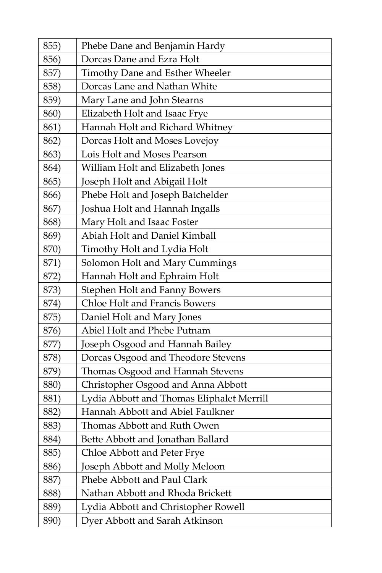| 855) | Phebe Dane and Benjamin Hardy             |
|------|-------------------------------------------|
| 856) | Dorcas Dane and Ezra Holt                 |
| 857) | Timothy Dane and Esther Wheeler           |
| 858) | Dorcas Lane and Nathan White              |
| 859) | Mary Lane and John Stearns                |
| 860) | Elizabeth Holt and Isaac Frye             |
| 861) | Hannah Holt and Richard Whitney           |
| 862) | Dorcas Holt and Moses Lovejoy             |
| 863) | Lois Holt and Moses Pearson               |
| 864) | William Holt and Elizabeth Jones          |
| 865) | Joseph Holt and Abigail Holt              |
| 866) | Phebe Holt and Joseph Batchelder          |
| 867) | Joshua Holt and Hannah Ingalls            |
| 868) | Mary Holt and Isaac Foster                |
| 869) | Abiah Holt and Daniel Kimball             |
| 870) | Timothy Holt and Lydia Holt               |
| 871) | Solomon Holt and Mary Cummings            |
| 872) | Hannah Holt and Ephraim Holt              |
| 873) | Stephen Holt and Fanny Bowers             |
| 874) | Chloe Holt and Francis Bowers             |
| 875) | Daniel Holt and Mary Jones                |
| 876) | Abiel Holt and Phebe Putnam               |
| 877) | Joseph Osgood and Hannah Bailey           |
| 878) | Dorcas Osgood and Theodore Stevens        |
| 879) | Thomas Osgood and Hannah Stevens          |
| 880) | Christopher Osgood and Anna Abbott        |
| 881) | Lydia Abbott and Thomas Eliphalet Merrill |
| 882) | Hannah Abbott and Abiel Faulkner          |
| 883) | Thomas Abbott and Ruth Owen               |
| 884) | Bette Abbott and Jonathan Ballard         |
| 885) | Chloe Abbott and Peter Frye               |
| 886) | Joseph Abbott and Molly Meloon            |
| 887) | Phebe Abbott and Paul Clark               |
| 888) | Nathan Abbott and Rhoda Brickett          |
| 889) | Lydia Abbott and Christopher Rowell       |
| 890) | Dyer Abbott and Sarah Atkinson            |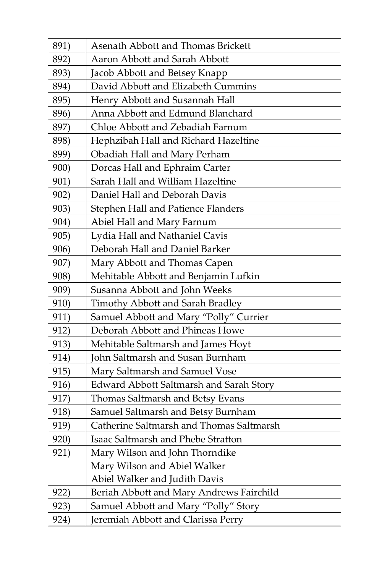| 891) | Asenath Abbott and Thomas Brickett       |
|------|------------------------------------------|
| 892) | Aaron Abbott and Sarah Abbott            |
| 893) | Jacob Abbott and Betsey Knapp            |
| 894) | David Abbott and Elizabeth Cummins       |
| 895) | Henry Abbott and Susannah Hall           |
| 896) | Anna Abbott and Edmund Blanchard         |
| 897) | Chloe Abbott and Zebadiah Farnum         |
| 898) | Hephzibah Hall and Richard Hazeltine     |
| 899) | Obadiah Hall and Mary Perham             |
| 900) | Dorcas Hall and Ephraim Carter           |
| 901) | Sarah Hall and William Hazeltine         |
| 902) | Daniel Hall and Deborah Davis            |
| 903) | Stephen Hall and Patience Flanders       |
| 904) | Abiel Hall and Mary Farnum               |
| 905) | Lydia Hall and Nathaniel Cavis           |
| 906) | Deborah Hall and Daniel Barker           |
| 907) | Mary Abbott and Thomas Capen             |
| 908) | Mehitable Abbott and Benjamin Lufkin     |
| 909) | Susanna Abbott and John Weeks            |
| 910) | Timothy Abbott and Sarah Bradley         |
| 911) | Samuel Abbott and Mary "Polly" Currier   |
| 912) | Deborah Abbott and Phineas Howe          |
| 913) | Mehitable Saltmarsh and James Hoyt       |
| 914) | John Saltmarsh and Susan Burnham         |
| 915) | Mary Saltmarsh and Samuel Vose           |
| 916) | Edward Abbott Saltmarsh and Sarah Story  |
| 917) | Thomas Saltmarsh and Betsy Evans         |
| 918) | Samuel Saltmarsh and Betsy Burnham       |
| 919) | Catherine Saltmarsh and Thomas Saltmarsh |
| 920) | Isaac Saltmarsh and Phebe Stratton       |
| 921) | Mary Wilson and John Thorndike           |
|      | Mary Wilson and Abiel Walker             |
|      | Abiel Walker and Judith Davis            |
| 922) | Beriah Abbott and Mary Andrews Fairchild |
| 923) | Samuel Abbott and Mary "Polly" Story     |
| 924) | Jeremiah Abbott and Clarissa Perry       |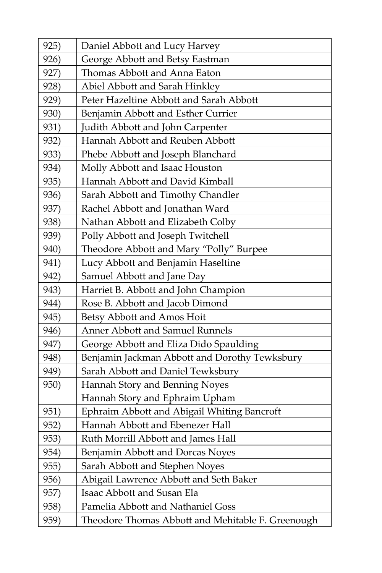| 925) | Daniel Abbott and Lucy Harvey                     |
|------|---------------------------------------------------|
| 926) | George Abbott and Betsy Eastman                   |
| 927) | Thomas Abbott and Anna Eaton                      |
| 928) | Abiel Abbott and Sarah Hinkley                    |
| 929) | Peter Hazeltine Abbott and Sarah Abbott           |
| 930) | Benjamin Abbott and Esther Currier                |
| 931) | Judith Abbott and John Carpenter                  |
| 932) | Hannah Abbott and Reuben Abbott                   |
| 933) | Phebe Abbott and Joseph Blanchard                 |
| 934) | Molly Abbott and Isaac Houston                    |
| 935) | Hannah Abbott and David Kimball                   |
| 936) | Sarah Abbott and Timothy Chandler                 |
| 937) | Rachel Abbott and Jonathan Ward                   |
| 938) | Nathan Abbott and Elizabeth Colby                 |
| 939) | Polly Abbott and Joseph Twitchell                 |
| 940) | Theodore Abbott and Mary "Polly" Burpee           |
| 941) | Lucy Abbott and Benjamin Haseltine                |
| 942) | Samuel Abbott and Jane Day                        |
| 943) | Harriet B. Abbott and John Champion               |
| 944) | Rose B. Abbott and Jacob Dimond                   |
| 945) | Betsy Abbott and Amos Hoit                        |
| 946) | <b>Anner Abbott and Samuel Runnels</b>            |
| 947) | George Abbott and Eliza Dido Spaulding            |
| 948) | Benjamin Jackman Abbott and Dorothy Tewksbury     |
| 949) | Sarah Abbott and Daniel Tewksbury                 |
| 950) | Hannah Story and Benning Noyes                    |
|      | Hannah Story and Ephraim Upham                    |
| 951) | Ephraim Abbott and Abigail Whiting Bancroft       |
| 952) | Hannah Abbott and Ebenezer Hall                   |
| 953) | Ruth Morrill Abbott and James Hall                |
| 954) | Benjamin Abbott and Dorcas Noyes                  |
| 955) | Sarah Abbott and Stephen Noyes                    |
| 956) | Abigail Lawrence Abbott and Seth Baker            |
| 957) | Isaac Abbott and Susan Ela                        |
| 958) | Pamelia Abbott and Nathaniel Goss                 |
| 959) | Theodore Thomas Abbott and Mehitable F. Greenough |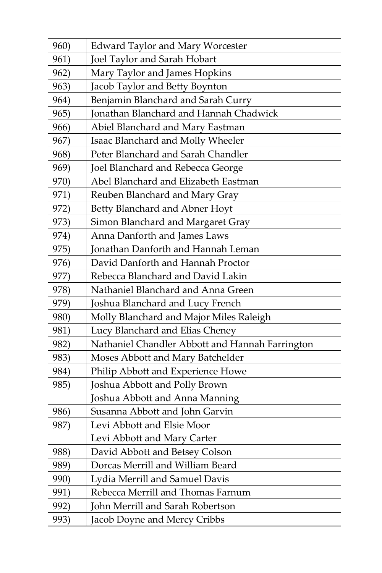| 960) | <b>Edward Taylor and Mary Worcester</b>         |
|------|-------------------------------------------------|
| 961) | Joel Taylor and Sarah Hobart                    |
| 962) | Mary Taylor and James Hopkins                   |
| 963) | Jacob Taylor and Betty Boynton                  |
| 964) | Benjamin Blanchard and Sarah Curry              |
| 965) | Jonathan Blanchard and Hannah Chadwick          |
| 966) | Abiel Blanchard and Mary Eastman                |
| 967) | Isaac Blanchard and Molly Wheeler               |
| 968) | Peter Blanchard and Sarah Chandler              |
| 969) | Joel Blanchard and Rebecca George               |
| 970) | Abel Blanchard and Elizabeth Eastman            |
| 971) | Reuben Blanchard and Mary Gray                  |
| 972) | Betty Blanchard and Abner Hoyt                  |
| 973) | Simon Blanchard and Margaret Gray               |
| 974) | Anna Danforth and James Laws                    |
| 975) | <b>Ionathan Danforth and Hannah Leman</b>       |
| 976) | David Danforth and Hannah Proctor               |
| 977) | Rebecca Blanchard and David Lakin               |
| 978) | Nathaniel Blanchard and Anna Green              |
| 979) | Joshua Blanchard and Lucy French                |
| 980) | Molly Blanchard and Major Miles Raleigh         |
| 981) | Lucy Blanchard and Elias Cheney                 |
| 982) | Nathaniel Chandler Abbott and Hannah Farrington |
| 983) | Moses Abbott and Mary Batchelder                |
| 984) | Philip Abbott and Experience Howe               |
| 985) | Joshua Abbott and Polly Brown                   |
|      | Joshua Abbott and Anna Manning                  |
| 986) | Susanna Abbott and John Garvin                  |
| 987) | Levi Abbott and Elsie Moor                      |
|      | Levi Abbott and Mary Carter                     |
| 988) | David Abbott and Betsey Colson                  |
| 989) | Dorcas Merrill and William Beard                |
| 990) | Lydia Merrill and Samuel Davis                  |
| 991) | Rebecca Merrill and Thomas Farnum               |
| 992) | John Merrill and Sarah Robertson                |
| 993) | Jacob Doyne and Mercy Cribbs                    |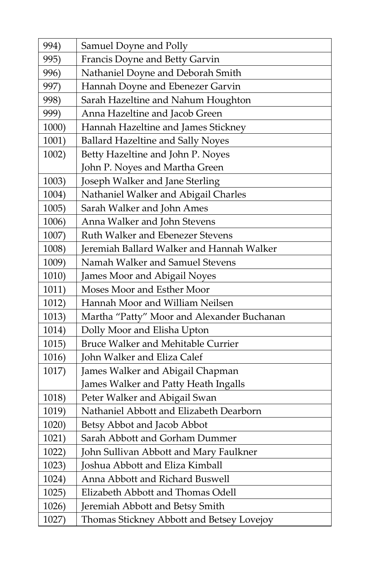| 994)  | Samuel Doyne and Polly                     |
|-------|--------------------------------------------|
| 995)  | Francis Doyne and Betty Garvin             |
| 996)  | Nathaniel Doyne and Deborah Smith          |
| 997)  | Hannah Doyne and Ebenezer Garvin           |
| 998)  | Sarah Hazeltine and Nahum Houghton         |
| 999)  | Anna Hazeltine and Jacob Green             |
| 1000) | Hannah Hazeltine and James Stickney        |
| 1001) | <b>Ballard Hazeltine and Sally Noyes</b>   |
| 1002) | Betty Hazeltine and John P. Noyes          |
|       | John P. Noyes and Martha Green             |
| 1003) | Joseph Walker and Jane Sterling            |
| 1004) | Nathaniel Walker and Abigail Charles       |
| 1005) | Sarah Walker and John Ames                 |
| 1006) | Anna Walker and John Stevens               |
| 1007) | Ruth Walker and Ebenezer Stevens           |
| 1008) | Jeremiah Ballard Walker and Hannah Walker  |
| 1009) | Namah Walker and Samuel Stevens            |
| 1010) | James Moor and Abigail Noyes               |
| 1011) | Moses Moor and Esther Moor                 |
| 1012) | Hannah Moor and William Neilsen            |
| 1013) | Martha "Patty" Moor and Alexander Buchanan |
| 1014) | Dolly Moor and Elisha Upton                |
| 1015) | <b>Bruce Walker and Mehitable Currier</b>  |
| 1016) | John Walker and Eliza Calef                |
| 1017) | James Walker and Abigail Chapman           |
|       | James Walker and Patty Heath Ingalls       |
| 1018) | Peter Walker and Abigail Swan              |
| 1019) | Nathaniel Abbott and Elizabeth Dearborn    |
| 1020) | Betsy Abbot and Jacob Abbot                |
| 1021) | Sarah Abbott and Gorham Dummer             |
| 1022) | John Sullivan Abbott and Mary Faulkner     |
| 1023) | Joshua Abbott and Eliza Kimball            |
| 1024) | Anna Abbott and Richard Buswell            |
| 1025) | Elizabeth Abbott and Thomas Odell          |
| 1026) | Jeremiah Abbott and Betsy Smith            |
| 1027) | Thomas Stickney Abbott and Betsey Lovejoy  |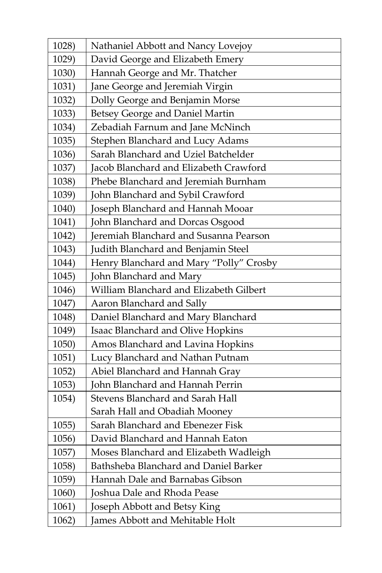| 1028) | Nathaniel Abbott and Nancy Lovejoy      |
|-------|-----------------------------------------|
| 1029) | David George and Elizabeth Emery        |
| 1030) | Hannah George and Mr. Thatcher          |
| 1031) | Jane George and Jeremiah Virgin         |
| 1032) | Dolly George and Benjamin Morse         |
| 1033) | Betsey George and Daniel Martin         |
| 1034) | Zebadiah Farnum and Jane McNinch        |
| 1035) | Stephen Blanchard and Lucy Adams        |
| 1036) | Sarah Blanchard and Uziel Batchelder    |
| 1037) | Jacob Blanchard and Elizabeth Crawford  |
| 1038) | Phebe Blanchard and Jeremiah Burnham    |
| 1039) | John Blanchard and Sybil Crawford       |
| 1040) | Joseph Blanchard and Hannah Mooar       |
| 1041) | John Blanchard and Dorcas Osgood        |
| 1042) | Jeremiah Blanchard and Susanna Pearson  |
| 1043) | Judith Blanchard and Benjamin Steel     |
| 1044) | Henry Blanchard and Mary "Polly" Crosby |
| 1045) | John Blanchard and Mary                 |
| 1046) | William Blanchard and Elizabeth Gilbert |
| 1047) | Aaron Blanchard and Sally               |
| 1048) | Daniel Blanchard and Mary Blanchard     |
| 1049) | Isaac Blanchard and Olive Hopkins       |
| 1050) | Amos Blanchard and Lavina Hopkins       |
| 1051) | Lucy Blanchard and Nathan Putnam        |
| 1052) | Abiel Blanchard and Hannah Gray         |
| 1053) | John Blanchard and Hannah Perrin        |
| 1054) | Stevens Blanchard and Sarah Hall        |
|       | Sarah Hall and Obadiah Mooney           |
| 1055) | Sarah Blanchard and Ebenezer Fisk       |
| 1056) | David Blanchard and Hannah Eaton        |
| 1057) | Moses Blanchard and Elizabeth Wadleigh  |
| 1058) | Bathsheba Blanchard and Daniel Barker   |
| 1059) | Hannah Dale and Barnabas Gibson         |
| 1060) | Joshua Dale and Rhoda Pease             |
| 1061) | Joseph Abbott and Betsy King            |
| 1062) | James Abbott and Mehitable Holt         |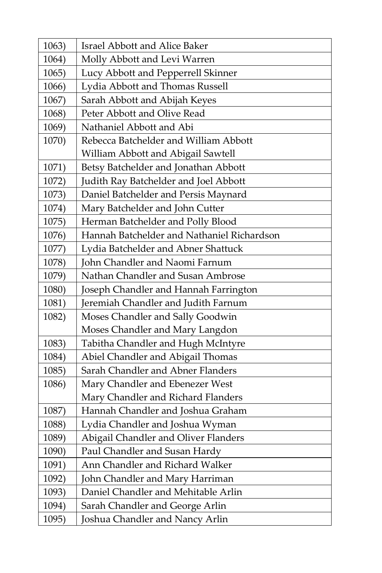| 1063) | Israel Abbott and Alice Baker              |
|-------|--------------------------------------------|
| 1064) | Molly Abbott and Levi Warren               |
| 1065) | Lucy Abbott and Pepperrell Skinner         |
| 1066) | Lydia Abbott and Thomas Russell            |
| 1067) | Sarah Abbott and Abijah Keyes              |
| 1068) | Peter Abbott and Olive Read                |
| 1069) | Nathaniel Abbott and Abi                   |
| 1070) | Rebecca Batchelder and William Abbott      |
|       | William Abbott and Abigail Sawtell         |
| 1071) | Betsy Batchelder and Jonathan Abbott       |
| 1072) | Judith Ray Batchelder and Joel Abbott      |
| 1073) | Daniel Batchelder and Persis Maynard       |
| 1074) | Mary Batchelder and John Cutter            |
| 1075) | Herman Batchelder and Polly Blood          |
| 1076) | Hannah Batchelder and Nathaniel Richardson |
| 1077) | Lydia Batchelder and Abner Shattuck        |
| 1078) | John Chandler and Naomi Farnum             |
| 1079) | Nathan Chandler and Susan Ambrose          |
| 1080) | Joseph Chandler and Hannah Farrington      |
| 1081) | Jeremiah Chandler and Judith Farnum        |
| 1082) | Moses Chandler and Sally Goodwin           |
|       | Moses Chandler and Mary Langdon            |
| 1083) | Tabitha Chandler and Hugh McIntyre         |
| 1084) | Abiel Chandler and Abigail Thomas          |
| 1085) | Sarah Chandler and Abner Flanders          |
| 1086) | Mary Chandler and Ebenezer West            |
|       | Mary Chandler and Richard Flanders         |
| 1087) | Hannah Chandler and Joshua Graham          |
| 1088) | Lydia Chandler and Joshua Wyman            |
| 1089) | Abigail Chandler and Oliver Flanders       |
| 1090) | Paul Chandler and Susan Hardy              |
| 1091) | Ann Chandler and Richard Walker            |
| 1092) | John Chandler and Mary Harriman            |
| 1093) | Daniel Chandler and Mehitable Arlin        |
| 1094) | Sarah Chandler and George Arlin            |
| 1095) | Joshua Chandler and Nancy Arlin            |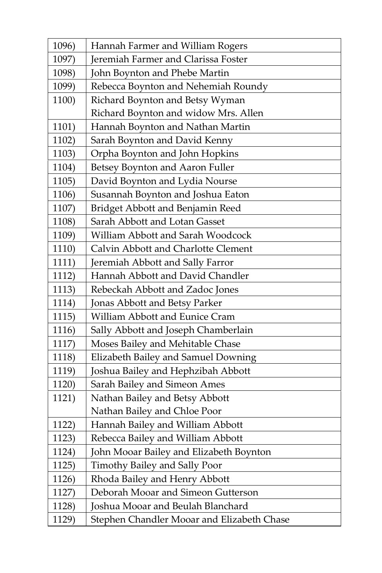| 1096) | Hannah Farmer and William Rogers           |
|-------|--------------------------------------------|
| 1097) | Jeremiah Farmer and Clarissa Foster        |
| 1098) | John Boynton and Phebe Martin              |
| 1099) | Rebecca Boynton and Nehemiah Roundy        |
| 1100) | Richard Boynton and Betsy Wyman            |
|       | Richard Boynton and widow Mrs. Allen       |
| 1101) | Hannah Boynton and Nathan Martin           |
| 1102) | Sarah Boynton and David Kenny              |
| 1103) | Orpha Boynton and John Hopkins             |
| 1104) | Betsey Boynton and Aaron Fuller            |
| 1105) | David Boynton and Lydia Nourse             |
| 1106) | Susannah Boynton and Joshua Eaton          |
| 1107) | Bridget Abbott and Benjamin Reed           |
| 1108) | Sarah Abbott and Lotan Gasset              |
| 1109) | William Abbott and Sarah Woodcock          |
| 1110) | Calvin Abbott and Charlotte Clement        |
| 1111) | Jeremiah Abbott and Sally Farror           |
| 1112) | Hannah Abbott and David Chandler           |
| 1113) | Rebeckah Abbott and Zadoc Jones            |
| 1114) | Jonas Abbott and Betsy Parker              |
| 1115) | William Abbott and Eunice Cram             |
| 1116) | Sally Abbott and Joseph Chamberlain        |
| 1117) | Moses Bailey and Mehitable Chase           |
| 1118) | Elizabeth Bailey and Samuel Downing        |
| 1119) | Joshua Bailey and Hephzibah Abbott         |
| 1120) | Sarah Bailey and Simeon Ames               |
| 1121) | Nathan Bailey and Betsy Abbott             |
|       | Nathan Bailey and Chloe Poor               |
| 1122) | Hannah Bailey and William Abbott           |
| 1123) | Rebecca Bailey and William Abbott          |
| 1124) | John Mooar Bailey and Elizabeth Boynton    |
| 1125) | Timothy Bailey and Sally Poor              |
| 1126) | Rhoda Bailey and Henry Abbott              |
| 1127) | Deborah Mooar and Simeon Gutterson         |
| 1128) | Joshua Mooar and Beulah Blanchard          |
| 1129) | Stephen Chandler Mooar and Elizabeth Chase |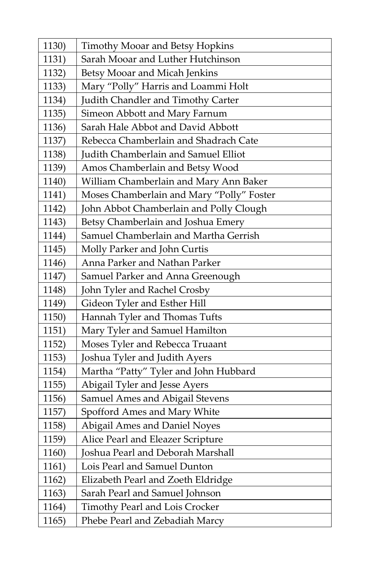| 1130) | Timothy Mooar and Betsy Hopkins           |
|-------|-------------------------------------------|
| 1131) | Sarah Mooar and Luther Hutchinson         |
| 1132) | Betsy Mooar and Micah Jenkins             |
| 1133) | Mary "Polly" Harris and Loammi Holt       |
| 1134) | Judith Chandler and Timothy Carter        |
| 1135) | Simeon Abbott and Mary Farnum             |
| 1136) | Sarah Hale Abbot and David Abbott         |
| 1137) | Rebecca Chamberlain and Shadrach Cate     |
| 1138) | Judith Chamberlain and Samuel Elliot      |
| 1139) | Amos Chamberlain and Betsy Wood           |
| 1140) | William Chamberlain and Mary Ann Baker    |
| 1141) | Moses Chamberlain and Mary "Polly" Foster |
| 1142) | John Abbot Chamberlain and Polly Clough   |
| 1143) | Betsy Chamberlain and Joshua Emery        |
| 1144) | Samuel Chamberlain and Martha Gerrish     |
| 1145) | Molly Parker and John Curtis              |
| 1146) | Anna Parker and Nathan Parker             |
| 1147) | Samuel Parker and Anna Greenough          |
| 1148) | John Tyler and Rachel Crosby              |
| 1149) | Gideon Tyler and Esther Hill              |
| 1150) | Hannah Tyler and Thomas Tufts             |
| 1151) | Mary Tyler and Samuel Hamilton            |
| 1152) | Moses Tyler and Rebecca Truaant           |
| 1153) | Joshua Tyler and Judith Ayers             |
| 1154) | Martha "Patty" Tyler and John Hubbard     |
| 1155) | Abigail Tyler and Jesse Ayers             |
| 1156) | Samuel Ames and Abigail Stevens           |
| 1157) | Spofford Ames and Mary White              |
| 1158) | Abigail Ames and Daniel Noyes             |
| 1159) | Alice Pearl and Eleazer Scripture         |
| 1160) | Joshua Pearl and Deborah Marshall         |
| 1161) | Lois Pearl and Samuel Dunton              |
| 1162) | Elizabeth Pearl and Zoeth Eldridge        |
| 1163) | Sarah Pearl and Samuel Johnson            |
| 1164) | <b>Timothy Pearl and Lois Crocker</b>     |
| 1165) | Phebe Pearl and Zebadiah Marcy            |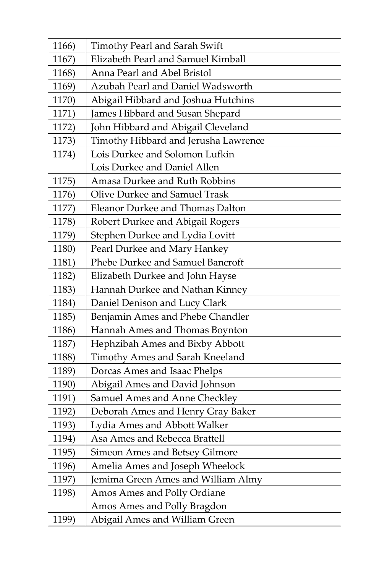| 1166) | Timothy Pearl and Sarah Swift        |
|-------|--------------------------------------|
| 1167) | Elizabeth Pearl and Samuel Kimball   |
| 1168) | Anna Pearl and Abel Bristol          |
| 1169) | Azubah Pearl and Daniel Wadsworth    |
| 1170) | Abigail Hibbard and Joshua Hutchins  |
| 1171) | James Hibbard and Susan Shepard      |
| 1172) | John Hibbard and Abigail Cleveland   |
| 1173) | Timothy Hibbard and Jerusha Lawrence |
| 1174) | Lois Durkee and Solomon Lufkin       |
|       | Lois Durkee and Daniel Allen         |
| 1175) | Amasa Durkee and Ruth Robbins        |
| 1176) | Olive Durkee and Samuel Trask        |
| 1177) | Eleanor Durkee and Thomas Dalton     |
| 1178) | Robert Durkee and Abigail Rogers     |
| 1179) | Stephen Durkee and Lydia Lovitt      |
| 1180) | Pearl Durkee and Mary Hankey         |
| 1181) | Phebe Durkee and Samuel Bancroft     |
| 1182) | Elizabeth Durkee and John Hayse      |
| 1183) | Hannah Durkee and Nathan Kinney      |
| 1184) | Daniel Denison and Lucy Clark        |
| 1185) | Benjamin Ames and Phebe Chandler     |
| 1186) | Hannah Ames and Thomas Boynton       |
| 1187) | Hephzibah Ames and Bixby Abbott      |
| 1188) | Timothy Ames and Sarah Kneeland      |
| 1189) | Dorcas Ames and Isaac Phelps         |
| 1190) | Abigail Ames and David Johnson       |
| 1191) | Samuel Ames and Anne Checkley        |
| 1192) | Deborah Ames and Henry Gray Baker    |
| 1193) | Lydia Ames and Abbott Walker         |
| 1194) | Asa Ames and Rebecca Brattell        |
| 1195) | Simeon Ames and Betsey Gilmore       |
| 1196) | Amelia Ames and Joseph Wheelock      |
| 1197) | Jemima Green Ames and William Almy   |
| 1198) | Amos Ames and Polly Ordiane          |
|       | Amos Ames and Polly Bragdon          |
| 1199) | Abigail Ames and William Green       |